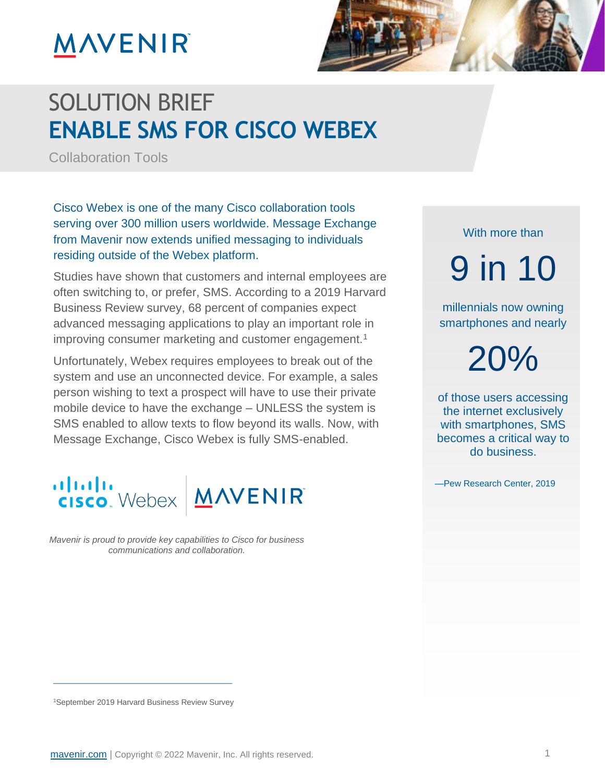# **MAVENIR**



### SOLUTION BRIEF **ENABLE SMS FOR CISCO WEBEX**

Collaboration Tools

Cisco Webex is one of the many Cisco collaboration tools serving over 300 million users worldwide. Message Exchange from Mavenir now extends unified messaging to individuals residing outside of the Webex platform.

Studies have shown that customers and internal employees are often switching to, or prefer, SMS. According to a 2019 Harvard Business Review survey, 68 percent of companies expect advanced messaging applications to play an important role in improving consumer marketing and customer engagement.<sup>1</sup>

Unfortunately, Webex requires employees to break out of the system and use an unconnected device. For example, a sales person wishing to text a prospect will have to use their private mobile device to have the exchange – UNLESS the system is SMS enabled to allow texts to flow beyond its walls. Now, with Message Exchange, Cisco Webex is fully SMS-enabled.



*Mavenir is proud to provide key capabilities to Cisco for business communications and collaboration.*

With more than

9 in 10

millennials now owning smartphones and nearly

20%

of those users accessing the internet exclusively with smartphones, SMS becomes a critical way to do business.

—Pew Research Center, 2019

<sup>1</sup>September 2019 Harvard Business Review Survey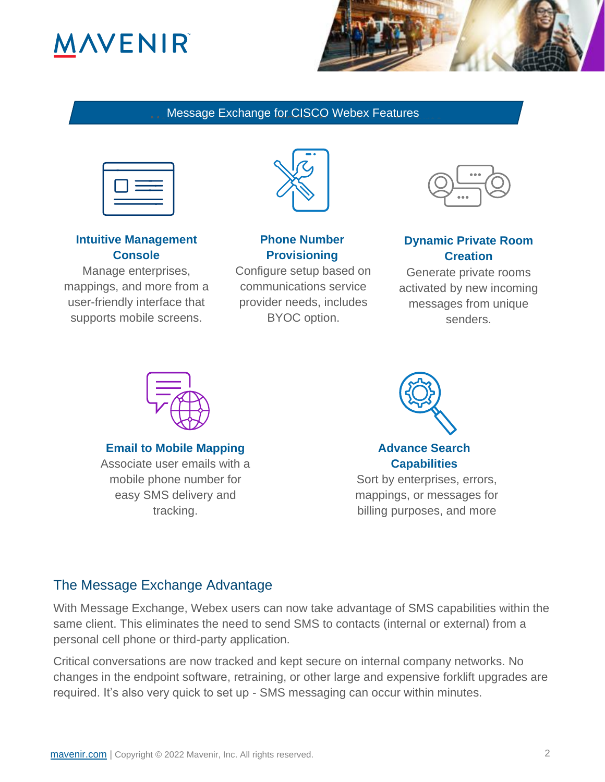## **ANVENIR**



#### Message Exchange for CISCO Webex Features



#### **Intuitive Management Console**

Manage enterprises, mappings, and more from a user-friendly interface that supports mobile screens.



#### **Phone Number Provisioning**

Configure setup based on communications service provider needs, includes BYOC option.



#### **Dynamic Private Room Creation**

Generate private rooms activated by new incoming messages from unique senders.



**Email to Mobile Mapping**

Associate user emails with a mobile phone number for easy SMS delivery and tracking.



**Advance Search Capabilities**

Sort by enterprises, errors, mappings, or messages for billing purposes, and more

### The Message Exchange Advantage

With Message Exchange, Webex users can now take advantage of SMS capabilities within the same client. This eliminates the need to send SMS to contacts (internal or external) from a personal cell phone or third-party application.

Critical conversations are now tracked and kept secure on internal company networks. No changes in the endpoint software, retraining, or other large and expensive forklift upgrades are required. It's also very quick to set up - SMS messaging can occur within minutes.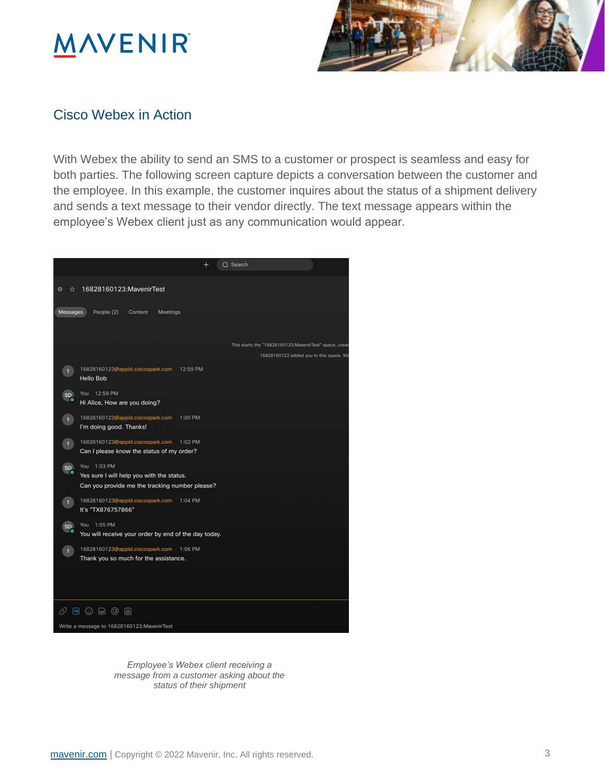## **MAVENIR**



#### Cisco Webex in Action

With Webex the ability to send an SMS to a customer or prospect is seamless and easy for both parties. The following screen capture depicts a conversation between the customer and the employee. In this example, the customer inquires about the status of a shipment delivery and sends a text message to their vendor directly. The text message appears within the employee's Webex client just as any communication would appear.



*Employee's Webex client receiving a message from a customer asking about the status of their shipment*